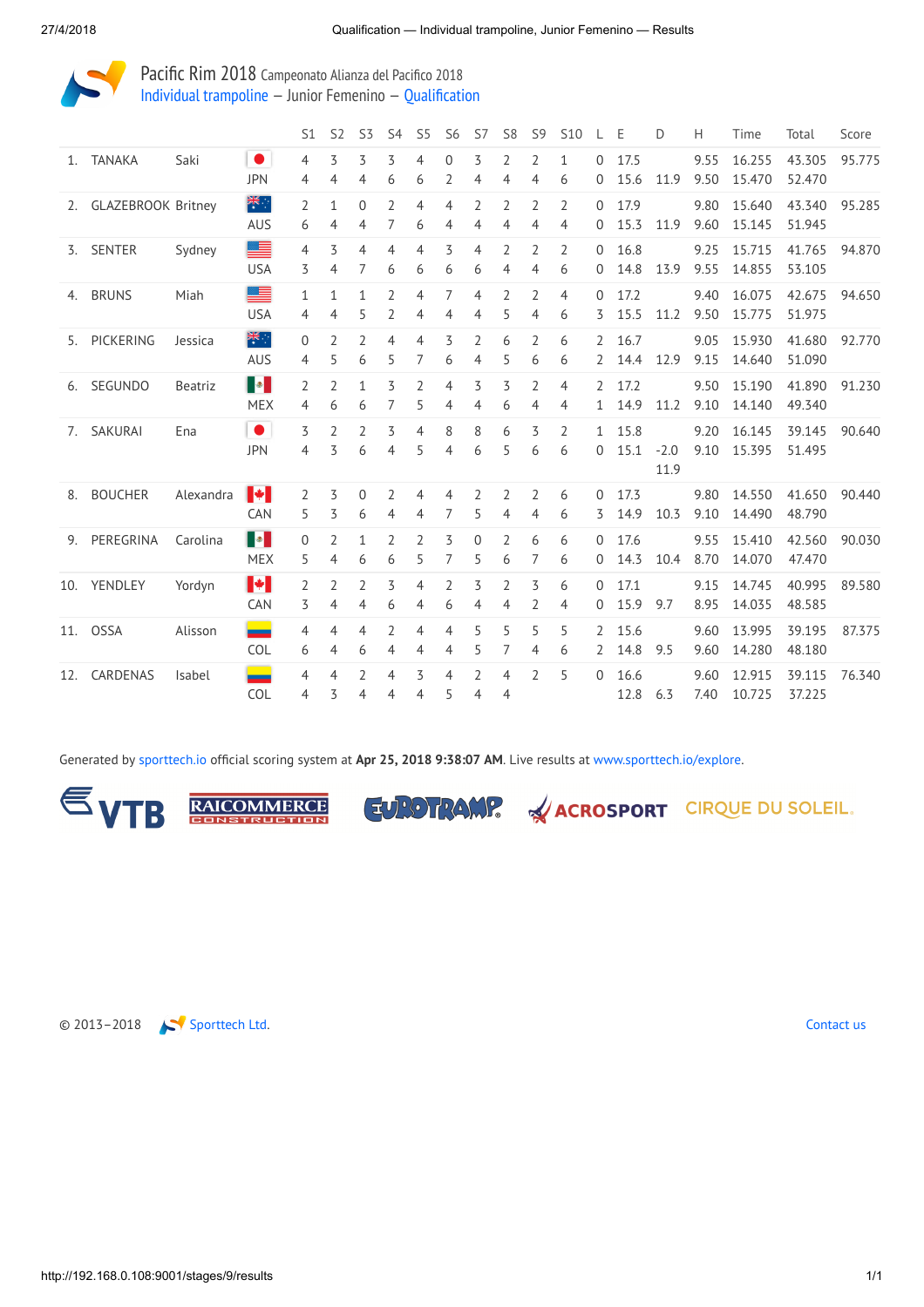

Pacific Rim 2018 Campeonato Alianza del Pacifico 2018 Individual [trampoline](http://192.168.0.108:9001/event/TRA) — Junior Femenino — [Qualification](http://192.168.0.108:9001/stages/9)

|     |                       |           |                                                                                                                                                                                                                                                                                                                                                                                                                                                             | <b>S1</b>           | S <sub>2</sub> | S <sub>3</sub>      | S <sub>4</sub>      | S <sub>5</sub>      | S <sub>6</sub>      | S7                  | S <sub>8</sub>      | S <sub>9</sub>      | <b>S10</b>          | L                   | Ε            | D              | Н            | Time             | Total            | Score  |
|-----|-----------------------|-----------|-------------------------------------------------------------------------------------------------------------------------------------------------------------------------------------------------------------------------------------------------------------------------------------------------------------------------------------------------------------------------------------------------------------------------------------------------------------|---------------------|----------------|---------------------|---------------------|---------------------|---------------------|---------------------|---------------------|---------------------|---------------------|---------------------|--------------|----------------|--------------|------------------|------------------|--------|
| 1.  | <b>TANAKA</b>         | Saki      | $\bullet$<br><b>JPN</b>                                                                                                                                                                                                                                                                                                                                                                                                                                     | 4<br>4              | 3<br>4         | 3<br>4              | 3<br>6              | 4<br>6              | $\Omega$<br>2       | 3<br>4              | 2<br>4              | $\overline{2}$<br>4 | $\mathbf{1}$<br>6   | $\Omega$<br>0       | 17.5<br>15.6 | 11.9           | 9.55<br>9.50 | 16.255<br>15.470 | 43.305<br>52.470 | 95.775 |
|     | 2. GLAZEBROOK Britney |           | 業務<br><b>AUS</b>                                                                                                                                                                                                                                                                                                                                                                                                                                            | $\overline{2}$<br>6 | 1<br>4         | $\overline{0}$<br>4 | 2<br>7              | 4<br>6              | $\overline{4}$<br>4 | 2<br>4              | $\overline{2}$<br>4 | $\overline{2}$<br>4 | $\overline{2}$<br>4 | $\Omega$<br>0       | 17.9<br>15.3 | 11.9           | 9.80<br>9.60 | 15.640<br>15.145 | 43.340<br>51.945 | 95.285 |
|     | 3. SENTER             | Sydney    | ≣<br><b>USA</b>                                                                                                                                                                                                                                                                                                                                                                                                                                             | 4<br>3              | 3<br>4         | 4<br>7              | 4<br>6              | 4<br>6              | 3<br>6              | 4<br>6              | 2<br>4              | 2<br>4              | 2<br>6              | 0<br>0              | 16.8<br>14.8 | 13.9           | 9.25<br>9.55 | 15.715<br>14.855 | 41.765<br>53.105 | 94.870 |
| 4.  | <b>BRUNS</b>          | Miah      | ≣<br><b>USA</b>                                                                                                                                                                                                                                                                                                                                                                                                                                             | $\mathbf{1}$<br>4   | 1<br>4         | 1<br>5              | $\overline{2}$<br>2 | 4<br>4              | 7<br>4              | 4<br>4              | $\overline{2}$<br>5 | $\overline{2}$<br>4 | 4<br>6              | 0<br>3              | 17.2<br>15.5 | 11.2           | 9.40<br>9.50 | 16.075<br>15.775 | 42.675<br>51.975 | 94.650 |
|     | 5. PICKERING          | Jessica   | 業務<br><b>AUS</b>                                                                                                                                                                                                                                                                                                                                                                                                                                            | 0<br>4              | 2<br>5         | $\overline{2}$<br>6 | 4<br>5              | 4<br>7              | 3<br>6              | $\overline{2}$<br>4 | 6<br>5              | 2<br>6              | 6<br>6              | $\overline{2}$<br>2 | 16.7<br>14.4 | 12.9           | 9.05<br>9.15 | 15.930<br>14.640 | 41.680<br>51.090 | 92.770 |
| 6.  | SEGUNDO               | Beatriz   | $\begin{array}{ c c c }\hline \multicolumn{1}{ c }{\mathbf{0}} & \multicolumn{1}{ c }{\mathbf{0}}\hline \multicolumn{1}{ c }{\mathbf{0}} & \multicolumn{1}{ c }{\mathbf{0}}\hline \multicolumn{1}{ c }{\mathbf{0}} & \multicolumn{1}{ c }{\mathbf{0}} & \multicolumn{1}{ c }{\mathbf{0}}\hline \multicolumn{1}{ c }{\mathbf{0}} & \multicolumn{1}{ c }{\mathbf{0}} & \multicolumn{1}{ c }{\mathbf{0}} & \multicolumn{1}{ c }{\mathbf{0}} & \$<br><b>MEX</b> | $\overline{2}$<br>4 | 2<br>6         | $\mathbf{1}$<br>6   | 3<br>7              | $\overline{2}$<br>5 | 4<br>4              | 3<br>4              | 3<br>6              | 2<br>4              | 4<br>4              | 2<br>1              | 17.2<br>14.9 | 11.2           | 9.50<br>9.10 | 15.190<br>14.140 | 41.890<br>49.340 | 91.230 |
|     | 7. SAKURAI            | Ena       | $\bullet$<br><b>JPN</b>                                                                                                                                                                                                                                                                                                                                                                                                                                     | 3<br>4              | 2<br>3         | $\overline{2}$<br>6 | 3<br>$\overline{4}$ | 4<br>5              | 8<br>4              | 8<br>6              | 6<br>5              | 3<br>6              | $\overline{2}$<br>6 | $\mathbf{1}$<br>0   | 15.8<br>15.1 | $-2.0$<br>11.9 | 9.20<br>9.10 | 16.145<br>15.395 | 39.145<br>51.495 | 90.640 |
| 8.  | <b>BOUCHER</b>        | Alexandra | $\blacktriangleright$<br><b>CAN</b>                                                                                                                                                                                                                                                                                                                                                                                                                         | $\overline{2}$<br>5 | 3<br>3         | 0<br>6              | 2<br>4              | 4<br>4              | $\overline{4}$<br>7 | 2<br>5              | 2<br>4              | 2<br>4              | 6<br>6              | 0<br>3              | 17.3<br>14.9 | 10.3           | 9.80<br>9.10 | 14.550<br>14.490 | 41.650<br>48.790 | 90.440 |
| 9.  | PEREGRINA             | Carolina  | <b>I</b><br><b>MEX</b>                                                                                                                                                                                                                                                                                                                                                                                                                                      | 0<br>5              | 2<br>4         | $\mathbf{1}$<br>6   | 2<br>6              | $\overline{2}$<br>5 | 3<br>7              | 0<br>5              | 2<br>6              | 6<br>7              | 6<br>6              | $\Omega$<br>0       | 17.6<br>14.3 | 10.4           | 9.55<br>8.70 | 15.410<br>14.070 | 42.560<br>47.470 | 90.030 |
|     | 10. YENDLEY           | Yordyn    | $\blacktriangleright$<br><b>CAN</b>                                                                                                                                                                                                                                                                                                                                                                                                                         | $\overline{2}$<br>3 | 2<br>4         | 2<br>4              | 3<br>6              | 4<br>4              | $\overline{2}$<br>6 | 3<br>4              | 2<br>4              | 3<br>2              | 6<br>4              | $\Omega$<br>0       | 17.1<br>15.9 | 9.7            | 9.15<br>8.95 | 14.745<br>14.035 | 40.995<br>48.585 | 89.580 |
|     | 11. OSSA              | Alisson   | ▄<br><b>COL</b>                                                                                                                                                                                                                                                                                                                                                                                                                                             | 4<br>6              | 4<br>4         | 4<br>6              | 2<br>4              | 4<br>4              | 4<br>4              | 5<br>5              | 5<br>7              | 5<br>4              | 5<br>6              | $\overline{2}$<br>2 | 15.6<br>14.8 | 9.5            | 9.60<br>9.60 | 13.995<br>14.280 | 39.195<br>48.180 | 87.375 |
| 12. | CARDENAS              | Isabel    | ▀<br>COL                                                                                                                                                                                                                                                                                                                                                                                                                                                    | 4<br>4              | 4<br>3         | 2<br>4              | 4<br>4              | 3<br>4              | 4<br>5              | 2<br>4              | 4<br>4              | $\overline{2}$      | 5                   | $\Omega$            | 16.6<br>12.8 | 6.3            | 9.60<br>7.40 | 12.915<br>10.725 | 39.115<br>37.225 | 76.340 |

Generated by [sporttech.io](https://sporttech.io/) official scoring system at Apr 25, 2018 9:38:07 AM. Live results at [www.sporttech.io/explore](https://sporttech.io/explore).



**RAICOMMERCE** 





EUROTRAMP. <u>ACROSPORT CIRQUE DU SOLEIL.</u>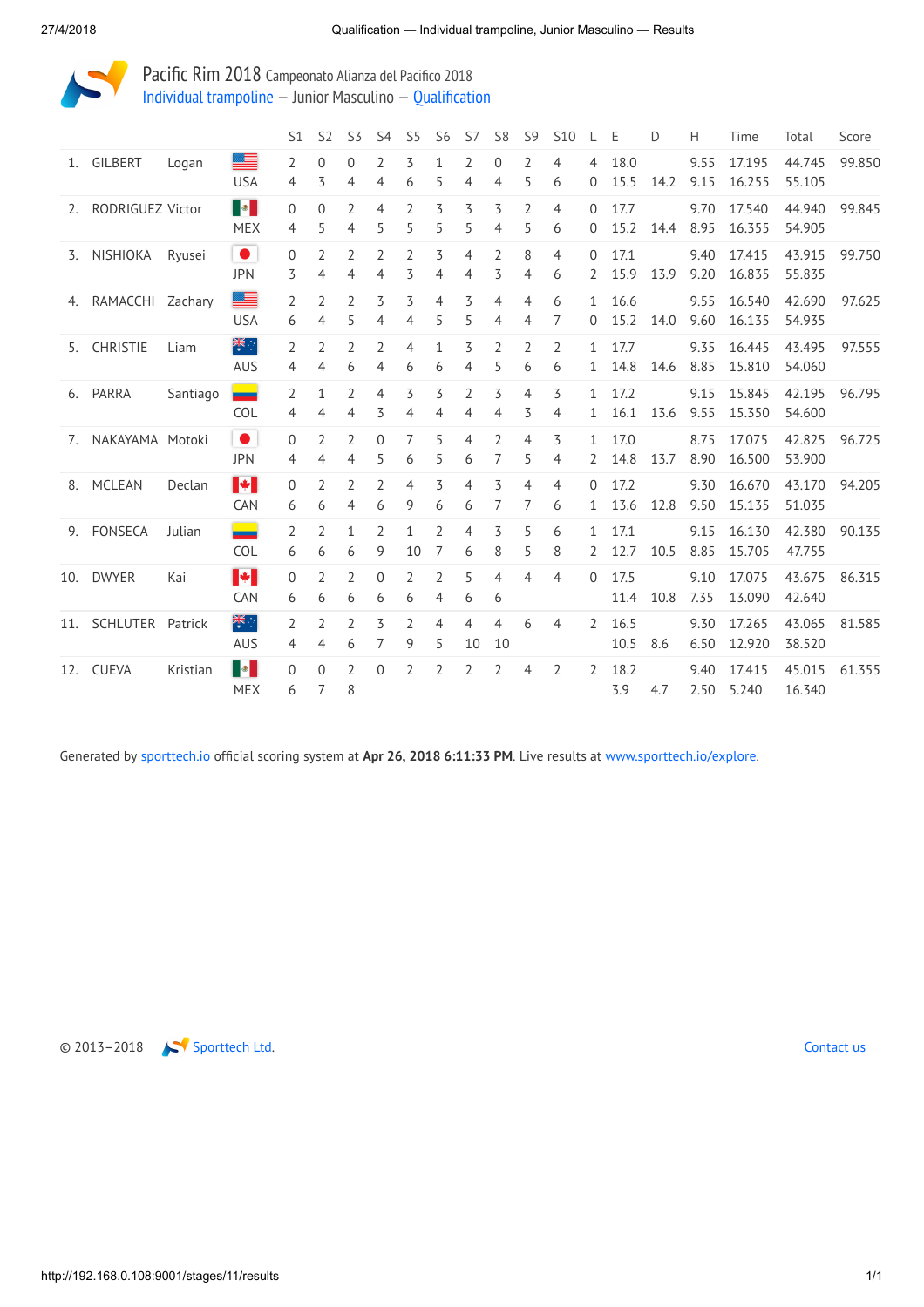

Pacific Rim 2018 Campeonato Alianza del Pacifico 2018 [Individual trampoline](http://192.168.0.108:9001/event/TRA) — Junior Masculino — [Qualification](http://192.168.0.108:9001/stages/11)

|    |                      |          |                              | S1                  | S <sub>2</sub>      | S3                  | S4                  | S <sub>5</sub>      | S6                  | S7                  | S <sub>8</sub>      | S <sub>9</sub>      | S <sub>10</sub>     |                   | Ε            | D    | Н            | Time             | Total            | Score  |
|----|----------------------|----------|------------------------------|---------------------|---------------------|---------------------|---------------------|---------------------|---------------------|---------------------|---------------------|---------------------|---------------------|-------------------|--------------|------|--------------|------------------|------------------|--------|
|    | 1. GILBERT           | Logan    | <b>USA</b>                   | $\overline{2}$<br>4 | $\Omega$<br>3       | $\Omega$<br>4       | $\overline{2}$<br>4 | 3<br>6              | $\mathbf{1}$<br>5   | 2<br>4              | $\Omega$<br>4       | $\overline{2}$<br>5 | $\overline{4}$<br>6 | 4<br>0            | 18.0<br>15.5 | 14.2 | 9.55<br>9.15 | 17.195<br>16.255 | 44.745<br>55.105 | 99.850 |
|    | 2. RODRIGUEZ Victor  |          | <b>B</b><br><b>MEX</b>       | $\overline{0}$<br>4 | $\Omega$<br>5       | $\overline{2}$<br>4 | 4<br>5              | $\overline{2}$<br>5 | 3<br>5              | 3<br>5              | 3<br>4              | $\overline{2}$<br>5 | 4<br>6              | $\Omega$<br>0     | 17.7<br>15.2 | 14.4 | 9.70<br>8.95 | 17.540<br>16.355 | 44.940<br>54.905 | 99.845 |
|    | 3. NISHIOKA          | Ryusei   | $\bullet$<br><b>JPN</b>      | 0<br>3              | $\overline{2}$<br>4 | $\overline{2}$<br>4 | $\overline{2}$<br>4 | $\overline{2}$<br>3 | 3<br>4              | $\overline{4}$<br>4 | $\overline{2}$<br>3 | 8<br>4              | $\overline{4}$<br>6 | $\Omega$<br>2     | 17.1<br>15.9 | 13.9 | 9.40<br>9.20 | 17.415<br>16.835 | 43.915<br>55.835 | 99.750 |
|    | 4. RAMACCHI Zachary  |          | ▇<br><b>USA</b>              | 2<br>6              | 2<br>4              | $\overline{2}$<br>5 | 3<br>4              | 3<br>4              | 4<br>5              | 3<br>5              | $\overline{4}$<br>4 | $\overline{4}$<br>4 | 6<br>7              | $\mathbf{1}$<br>0 | 16.6<br>15.2 | 14.0 | 9.55<br>9.60 | 16.540<br>16.135 | 42.690<br>54.935 | 97.625 |
|    | 5. CHRISTIE          | Liam     | 業務<br><b>AUS</b>             | 2<br>4              | $\overline{2}$<br>4 | $\overline{2}$<br>6 | $\overline{2}$<br>4 | $\overline{4}$<br>6 | $\mathbf{1}$<br>6   | 3<br>4              | $\overline{2}$<br>5 | $\overline{2}$<br>6 | 2<br>6              | $\mathbf{1}$<br>1 | 17.7<br>14.8 | 14.6 | 9.35<br>8.85 | 16.445<br>15.810 | 43.495<br>54.060 | 97.555 |
|    | 6. PARRA             | Santiago | ▄<br><b>COL</b>              | $\overline{2}$<br>4 | $\mathbf{1}$<br>4   | $\overline{2}$<br>4 | $\overline{4}$<br>3 | 3<br>4              | 3<br>4              | $\overline{2}$<br>4 | 3<br>4              | $\overline{4}$<br>3 | 3<br>4              | $\mathbf{1}$<br>1 | 17.2<br>16.1 | 13.6 | 9.15<br>9.55 | 15.845<br>15.350 | 42.195<br>54.600 | 96.795 |
|    | 7. NAKAYAMA Motoki   |          | $\bullet$<br><b>JPN</b>      | 0<br>4              | 2<br>4              | 2<br>4              | $\Omega$<br>5       | 7<br>6              | 5<br>5              | 4<br>6              | $\overline{2}$<br>7 | $\overline{4}$<br>5 | 3<br>4              | $\mathbf{1}$<br>2 | 17.0<br>14.8 | 13.7 | 8.75<br>8.90 | 17.075<br>16.500 | 42.825<br>53.900 | 96.725 |
| 8. | MCLEAN               | Declan   | $\blacktriangleright$<br>CAN | 0<br>6              | $\overline{2}$<br>6 | $\overline{2}$<br>4 | $\overline{2}$<br>6 | $\overline{4}$<br>9 | 3<br>6              | 4<br>6              | 3<br>7              | $\overline{4}$<br>7 | $\overline{4}$<br>6 | $\Omega$<br>1     | 17.2<br>13.6 | 12.8 | 9.30<br>9.50 | 16.670<br>15.135 | 43.170<br>51.035 | 94.205 |
|    | 9. FONSECA           | Julian   | <u>e a</u><br>COL            | $\overline{2}$<br>6 | $\overline{2}$<br>6 | $\mathbf{1}$<br>6   | $\overline{2}$<br>9 | $\mathbf{1}$<br>10  | $\overline{2}$<br>7 | 4<br>6              | 3<br>8              | 5<br>5              | 6<br>8              | 1<br>2            | 17.1<br>12.7 | 10.5 | 9.15<br>8.85 | 16.130<br>15.705 | 42.380<br>47.755 | 90.135 |
|    | 10. DWYER            | Kai      | H.<br><b>CAN</b>             | $\Omega$<br>6       | $\overline{2}$<br>6 | $\overline{2}$<br>6 | $\Omega$<br>6       | $\overline{2}$<br>6 | $\overline{2}$<br>4 | 5<br>6              | 4<br>6              | $\overline{4}$      | $\overline{4}$      | $\Omega$          | 17.5<br>11.4 | 10.8 | 9.10<br>7.35 | 17.075<br>13.090 | 43.675<br>42.640 | 86.315 |
|    | 11. SCHLUTER Patrick |          | 学<br><b>AUS</b>              | $\overline{2}$<br>4 | $\overline{2}$<br>4 | $\overline{2}$<br>6 | 3<br>7              | 2<br>9              | 4<br>5              | 4<br>10             | 4<br>10             | 6                   | 4                   | 2                 | 16.5<br>10.5 | 8.6  | 9.30<br>6.50 | 17.265<br>12.920 | 43.065<br>38.520 | 81.585 |
|    | 12. CUEVA            | Kristian | I SI<br><b>MEX</b>           | $\Omega$<br>6       | $\Omega$<br>7       | $\overline{2}$<br>8 | $\Omega$            | 2                   | 2                   | 2                   | $\overline{2}$      | 4                   | 2                   | 2                 | 18.2<br>3.9  | 4.7  | 9.40<br>2.50 | 17.415<br>5.240  | 45.015<br>16.340 | 61.355 |

Generated by [sporttech.io](https://sporttech.io/) official scoring system at Apr 26, 2018 6:11:33 PM. Live results at [www.sporttech.io/explore.](https://sporttech.io/explore)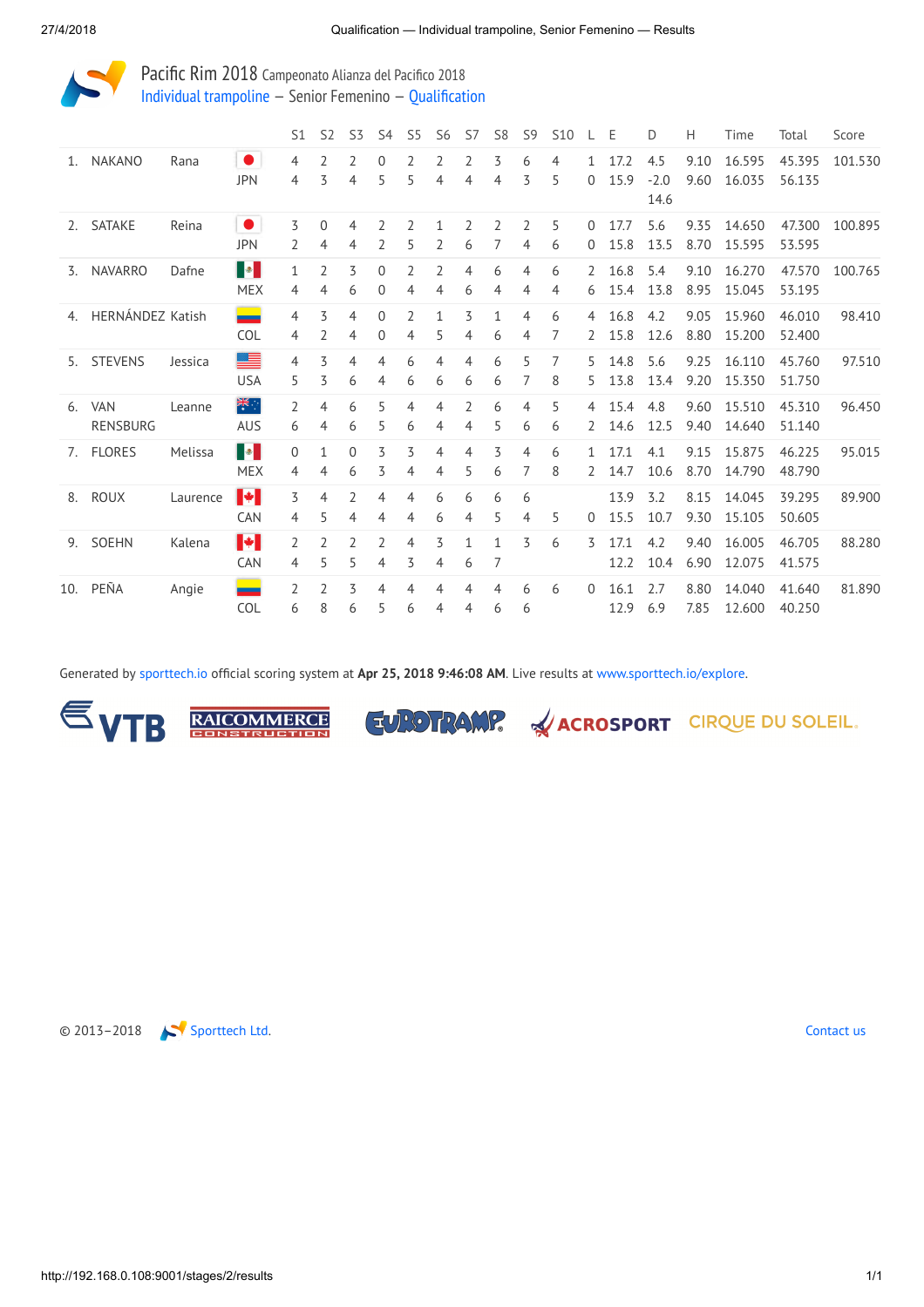

Pacific Rim 2018 Campeonato Alianza del Pacifico 2018 Individual [trampoline](http://192.168.0.108:9001/event/TRA) — Senior Femenino — [Qualification](http://192.168.0.108:9001/stages/2)

|    |                     |          |                                                                                                                        | S1                  | S <sub>2</sub>      | S <sub>3</sub>    | S <sub>4</sub>             | S <sub>5</sub>      | S <sub>6</sub>    | S7     | S <sub>8</sub>    | S <sub>9</sub>      | <b>S10</b> |                     | Ε            | D                     | Н            | Time             | Total            | Score   |
|----|---------------------|----------|------------------------------------------------------------------------------------------------------------------------|---------------------|---------------------|-------------------|----------------------------|---------------------|-------------------|--------|-------------------|---------------------|------------|---------------------|--------------|-----------------------|--------------|------------------|------------------|---------|
| 1. | NAKANO              | Rana     | $\bullet$<br><b>JPN</b>                                                                                                | 4<br>4              | 2<br>3              | 2<br>4            | $\Omega$<br>5              | 2<br>5              | 2<br>4            | 2<br>4 | 3<br>4            | 6<br>3              | 4<br>5     | $\mathbf{0}$        | 17.2<br>15.9 | 4.5<br>$-2.0$<br>14.6 | 9.10<br>9.60 | 16.595<br>16.035 | 45.395<br>56.135 | 101.530 |
|    | 2. SATAKE           | Reina    | $\bullet$<br><b>JPN</b>                                                                                                | 3<br>2              | $\Omega$<br>4       | 4<br>4            | 2<br>2                     | $\overline{2}$<br>5 | $\mathbf{1}$<br>2 | 2<br>6 | 2<br>7            | $\overline{2}$<br>4 | 5<br>6     | $\Omega$<br>0       | 17.7<br>15.8 | 5.6<br>13.5           | 9.35<br>8.70 | 14.650<br>15.595 | 47.300<br>53.595 | 100.895 |
|    | 3. NAVARRO          | Dafne    | $\begin{array}{ c c c }\hline \multicolumn{1}{ c }{\bullet} & \multicolumn{1}{ c }{\bullet} \end{array}$<br><b>MEX</b> | 1<br>4              | $\overline{2}$<br>4 | 3<br>6            | $\mathbf{0}$<br>0          | 2<br>4              | 2<br>4            | 4<br>6 | 6<br>4            | 4<br>4              | 6<br>4     | 2<br>6              | 16.8<br>15.4 | 5.4<br>13.8           | 9.10<br>8.95 | 16.270<br>15.045 | 47.570<br>53.195 | 100.765 |
|    | 4. HERNÁNDEZ Katish |          | COL                                                                                                                    | 4<br>4              | 3<br>2              | 4<br>4            | $\Omega$<br>$\overline{0}$ | $\overline{2}$<br>4 | $\mathbf{1}$<br>5 | 3<br>4 | $\mathbf{1}$<br>6 | 4<br>4              | 6<br>7     | $\overline{4}$<br>2 | 16.8<br>15.8 | 4.2<br>12.6           | 9.05<br>8.80 | 15.960<br>15.200 | 46.010<br>52.400 | 98.410  |
|    | 5. STEVENS          | Jessica  | ▀<br><b>USA</b>                                                                                                        | 4<br>5              | 3<br>3              | 4<br>6            | 4<br>4                     | 6<br>6              | 4<br>6            | 4<br>6 | 6<br>6            | 5                   | 7<br>8     | 5<br>5.             | 14.8<br>13.8 | 5.6<br>13.4           | 9.25<br>9.20 | 16.110<br>15.350 | 45.760<br>51.750 | 97.510  |
|    | 6. VAN<br>RENSBURG  | Leanne   | 業務<br><b>AUS</b>                                                                                                       | $\overline{2}$<br>6 | 4<br>4              | 6<br>6            | 5<br>5                     | 4<br>6              | 4<br>4            | 2<br>4 | 6<br>5            | 4<br>6              | 5<br>6     | 4<br>2              | 15.4<br>14.6 | 4.8<br>12.5           | 9.60<br>9.40 | 15.510<br>14.640 | 45.310<br>51.140 | 96.450  |
|    | 7. FLORES           | Melissa  | $\begin{array}{ c c c }\hline \multicolumn{1}{ c }{\bullet} & \multicolumn{1}{ c }{\bullet} \end{array}$<br><b>MEX</b> | 0<br>4              | $\mathbf{1}$<br>4   | $\mathbf{0}$<br>6 | 3<br>3                     | 3<br>4              | 4<br>4            | 4<br>5 | 3<br>6            | 4                   | 6<br>8     | $\mathbf{1}$<br>2   | 17.1<br>14.7 | 4.1<br>10.6           | 9.15<br>8.70 | 15.875<br>14.790 | 46.225<br>48.790 | 95.015  |
|    | 8. ROUX             | Laurence | $\blacktriangleright$<br><b>CAN</b>                                                                                    | 3<br>4              | 4<br>5              | 2<br>4            | 4<br>4                     | 4<br>4              | 6<br>6            | 6<br>4 | 6<br>5            | 6<br>4              | 5          | 0                   | 13.9<br>15.5 | 3.2<br>10.7           | 8.15<br>9.30 | 14.045<br>15.105 | 39.295<br>50.605 | 89.900  |
|    | 9. SOEHN            | Kalena   | $\blacktriangleright$<br><b>CAN</b>                                                                                    | 2<br>4              | 2<br>5              | 2<br>5            | $\overline{2}$<br>4        | 4<br>3              | 3<br>4            | 1<br>6 | $\mathbf{1}$<br>7 | 3                   | 6          | 3                   | 17.1<br>12.2 | 4.2<br>10.4           | 9.40<br>6.90 | 16.005<br>12.075 | 46.705<br>41.575 | 88.280  |
|    | 10. PEÑA            | Angie    | ▄<br>COL                                                                                                               | $\overline{2}$<br>6 | $\mathcal{L}$<br>8  | 3<br>6            | 4<br>5                     | 4<br>6              | 4<br>4            | 4<br>4 | 4<br>6            | 6<br>6              | 6          | $\Omega$            | 16.1<br>12.9 | 2.7<br>6.9            | 8.80<br>7.85 | 14.040<br>12.600 | 41.640<br>40.250 | 81.890  |

Generated by [sporttech.io](https://sporttech.io/) official scoring system at Apr 25, 2018 9:46:08 AM. Live results at [www.sporttech.io/explore.](https://sporttech.io/explore)



**RAICOMMERCE** 

EUROTRAMP. & ACROSPORT CIRQUE DU SOLEIL.